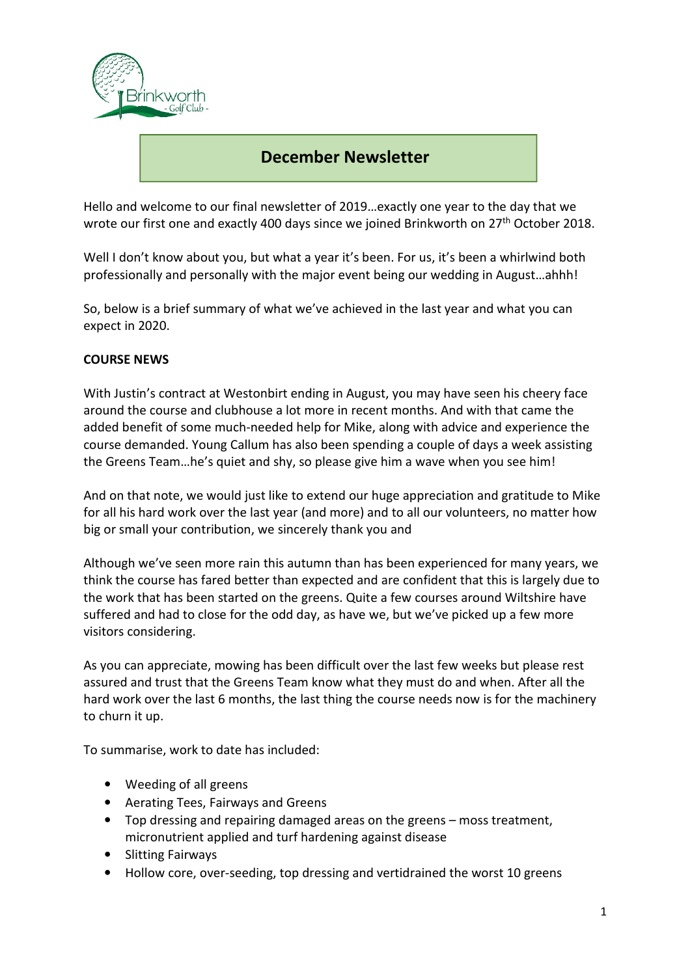

# i **December Newsletter**

Hello and welcome to our final newsletter of 2019…exactly one year to the day that we wrote our first one and exactly 400 days since we joined Brinkworth on 27<sup>th</sup> October 2018.

Well I don't know about you, but what a year it's been. For us, it's been a whirlwind both professionally and personally with the major event being our wedding in August…ahhh!

So, below is a brief summary of what we've achieved in the last year and what you can expect in 2020.

## **COURSE NEWS**

With Justin's contract at Westonbirt ending in August, you may have seen his cheery face around the course and clubhouse a lot more in recent months. And with that came the added benefit of some much-needed help for Mike, along with advice and experience the course demanded. Young Callum has also been spending a couple of days a week assisting the Greens Team…he's quiet and shy, so please give him a wave when you see him!

And on that note, we would just like to extend our huge appreciation and gratitude to Mike for all his hard work over the last year (and more) and to all our volunteers, no matter how big or small your contribution, we sincerely thank you and

Although we've seen more rain this autumn than has been experienced for many years, we think the course has fared better than expected and are confident that this is largely due to the work that has been started on the greens. Quite a few courses around Wiltshire have suffered and had to close for the odd day, as have we, but we've picked up a few more visitors considering.

As you can appreciate, mowing has been difficult over the last few weeks but please rest assured and trust that the Greens Team know what they must do and when. After all the hard work over the last 6 months, the last thing the course needs now is for the machinery to churn it up.

To summarise, work to date has included:

- Weeding of all greens
- Aerating Tees, Fairways and Greens
- Top dressing and repairing damaged areas on the greens moss treatment, micronutrient applied and turf hardening against disease
- Slitting Fairways
- Hollow core, over-seeding, top dressing and vertidrained the worst 10 greens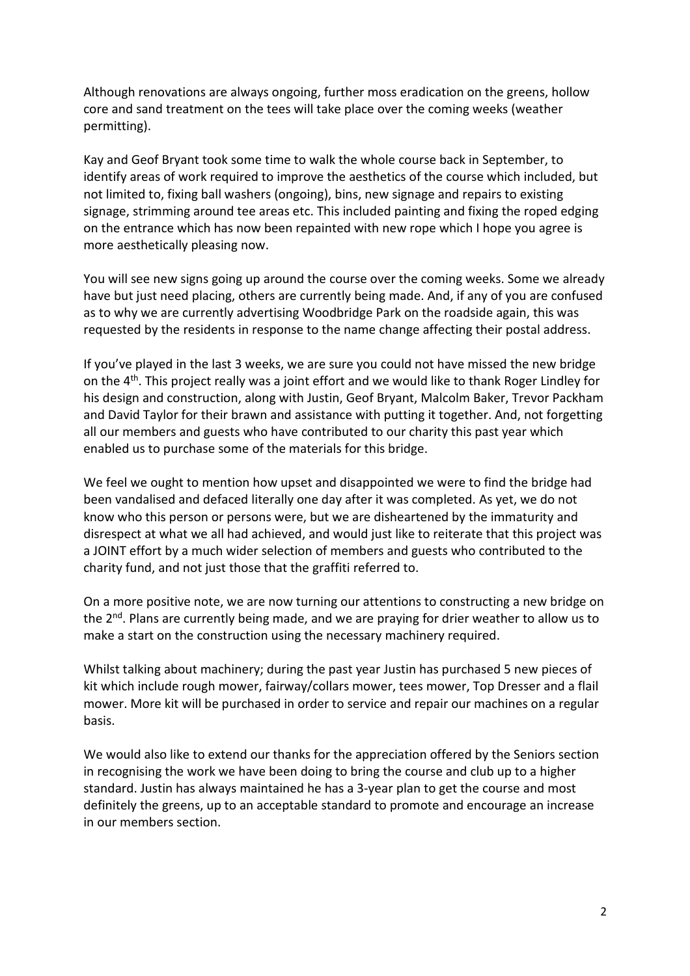Although renovations are always ongoing, further moss eradication on the greens, hollow core and sand treatment on the tees will take place over the coming weeks (weather permitting).

Kay and Geof Bryant took some time to walk the whole course back in September, to identify areas of work required to improve the aesthetics of the course which included, but not limited to, fixing ball washers (ongoing), bins, new signage and repairs to existing signage, strimming around tee areas etc. This included painting and fixing the roped edging on the entrance which has now been repainted with new rope which I hope you agree is more aesthetically pleasing now.

You will see new signs going up around the course over the coming weeks. Some we already have but just need placing, others are currently being made. And, if any of you are confused as to why we are currently advertising Woodbridge Park on the roadside again, this was requested by the residents in response to the name change affecting their postal address.

If you've played in the last 3 weeks, we are sure you could not have missed the new bridge on the 4<sup>th</sup>. This project really was a joint effort and we would like to thank Roger Lindley for his design and construction, along with Justin, Geof Bryant, Malcolm Baker, Trevor Packham and David Taylor for their brawn and assistance with putting it together. And, not forgetting all our members and guests who have contributed to our charity this past year which enabled us to purchase some of the materials for this bridge.

We feel we ought to mention how upset and disappointed we were to find the bridge had been vandalised and defaced literally one day after it was completed. As yet, we do not know who this person or persons were, but we are disheartened by the immaturity and disrespect at what we all had achieved, and would just like to reiterate that this project was a JOINT effort by a much wider selection of members and guests who contributed to the charity fund, and not just those that the graffiti referred to.

On a more positive note, we are now turning our attentions to constructing a new bridge on the  $2<sup>nd</sup>$ . Plans are currently being made, and we are praying for drier weather to allow us to make a start on the construction using the necessary machinery required.

Whilst talking about machinery; during the past year Justin has purchased 5 new pieces of kit which include rough mower, fairway/collars mower, tees mower, Top Dresser and a flail mower. More kit will be purchased in order to service and repair our machines on a regular basis.

We would also like to extend our thanks for the appreciation offered by the Seniors section in recognising the work we have been doing to bring the course and club up to a higher standard. Justin has always maintained he has a 3-year plan to get the course and most definitely the greens, up to an acceptable standard to promote and encourage an increase in our members section.